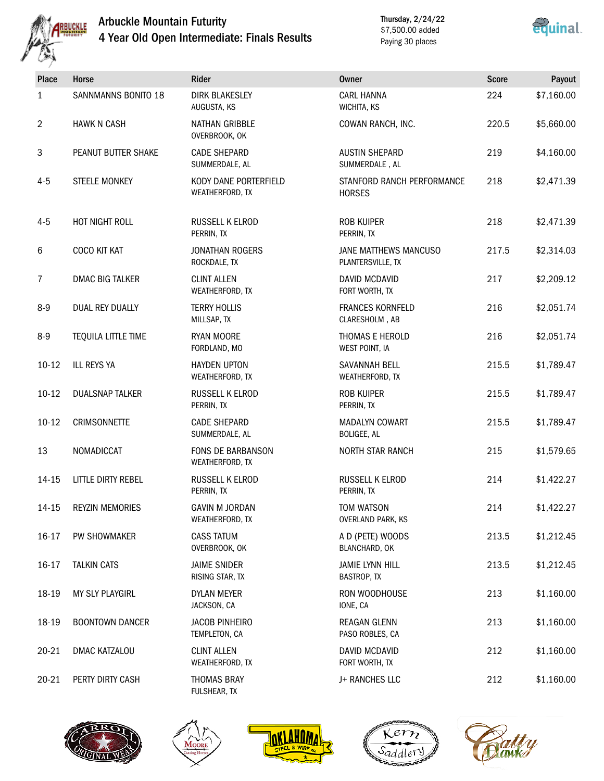

## Arbuckle Mountain Futurity 4 Year Old Open Intermediate: Finals Results

Thursday, 2/24/22 \$7,500.00 added Paying 30 places



| Place          | Horse                  | Rider                                       | <b>Owner</b>                                | <b>Score</b> | Payout     |
|----------------|------------------------|---------------------------------------------|---------------------------------------------|--------------|------------|
| 1              | SANNMANNS BONITO 18    | <b>DIRK BLAKESLEY</b><br>AUGUSTA, KS        | <b>CARL HANNA</b><br>WICHITA, KS            | 224          | \$7,160.00 |
| $\overline{2}$ | <b>HAWK N CASH</b>     | <b>NATHAN GRIBBLE</b><br>OVERBROOK, OK      | COWAN RANCH, INC.                           | 220.5        | \$5,660.00 |
| $\mathbf{3}$   | PEANUT BUTTER SHAKE    | <b>CADE SHEPARD</b><br>SUMMERDALE, AL       | <b>AUSTIN SHEPARD</b><br>SUMMERDALE, AL     | 219          | \$4,160.00 |
| $4 - 5$        | <b>STEELE MONKEY</b>   | KODY DANE PORTERFIELD<br>WEATHERFORD, TX    | STANFORD RANCH PERFORMANCE<br><b>HORSES</b> | 218          | \$2,471.39 |
| $4 - 5$        | HOT NIGHT ROLL         | RUSSELL K ELROD<br>PERRIN, TX               | <b>ROB KUIPER</b><br>PERRIN, TX             | 218          | \$2,471.39 |
| 6              | COCO KIT KAT           | <b>JONATHAN ROGERS</b><br>ROCKDALE, TX      | JANE MATTHEWS MANCUSO<br>PLANTERSVILLE, TX  | 217.5        | \$2,314.03 |
| $\overline{7}$ | <b>DMAC BIG TALKER</b> | <b>CLINT ALLEN</b><br>WEATHERFORD, TX       | DAVID MCDAVID<br>FORT WORTH, TX             | 217          | \$2,209.12 |
| $8-9$          | <b>DUAL REY DUALLY</b> | <b>TERRY HOLLIS</b><br>MILLSAP, TX          | <b>FRANCES KORNFELD</b><br>CLARESHOLM, AB   | 216          | \$2,051.74 |
| $8-9$          | TEQUILA LITTLE TIME    | RYAN MOORE<br>FORDLAND, MO                  | THOMAS E HEROLD<br>WEST POINT, IA           | 216          | \$2,051.74 |
| $10-12$        | <b>ILL REYS YA</b>     | <b>HAYDEN UPTON</b><br>WEATHERFORD, TX      | SAVANNAH BELL<br>WEATHERFORD, TX            | 215.5        | \$1,789.47 |
| $10 - 12$      | <b>DUALSNAP TALKER</b> | RUSSELL K ELROD<br>PERRIN, TX               | <b>ROB KUIPER</b><br>PERRIN, TX             | 215.5        | \$1,789.47 |
| $10 - 12$      | <b>CRIMSONNETTE</b>    | <b>CADE SHEPARD</b><br>SUMMERDALE, AL       | <b>MADALYN COWART</b><br><b>BOLIGEE, AL</b> | 215.5        | \$1,789.47 |
| 13             | NOMADICCAT             | <b>FONS DE BARBANSON</b><br>WEATHERFORD, TX | <b>NORTH STAR RANCH</b>                     | 215          | \$1,579.65 |
| 14-15          | LITTLE DIRTY REBEL     | RUSSELL K ELROD<br>PERRIN, TX               | RUSSELL K ELROD<br>PERRIN, TX               | 214          | \$1,422.27 |
| $14 - 15$      | <b>REYZIN MEMORIES</b> | <b>GAVIN M JORDAN</b><br>WEATHERFORD, TX    | TOM WATSON<br><b>OVERLAND PARK, KS</b>      | 214          | \$1,422.27 |
| 16-17          | PW SHOWMAKER           | <b>CASS TATUM</b><br>OVERBROOK, OK          | A D (PETE) WOODS<br>BLANCHARD, OK           | 213.5        | \$1,212.45 |
| 16-17          | <b>TALKIN CATS</b>     | <b>JAIME SNIDER</b><br>RISING STAR, TX      | <b>JAMIE LYNN HILL</b><br>BASTROP, TX       | 213.5        | \$1,212.45 |
| 18-19          | MY SLY PLAYGIRL        | DYLAN MEYER<br>JACKSON, CA                  | RON WOODHOUSE<br>IONE, CA                   | 213          | \$1,160.00 |
| 18-19          | <b>BOONTOWN DANCER</b> | <b>JACOB PINHEIRO</b><br>TEMPLETON, CA      | REAGAN GLENN<br>PASO ROBLES, CA             | 213          | \$1,160.00 |
| $20 - 21$      | DMAC KATZALOU          | <b>CLINT ALLEN</b><br>WEATHERFORD, TX       | DAVID MCDAVID<br>FORT WORTH, TX             | 212          | \$1,160.00 |
| $20 - 21$      | PERTY DIRTY CASH       | <b>THOMAS BRAY</b><br>FULSHEAR, TX          | J+ RANCHES LLC                              | 212          | \$1,160.00 |









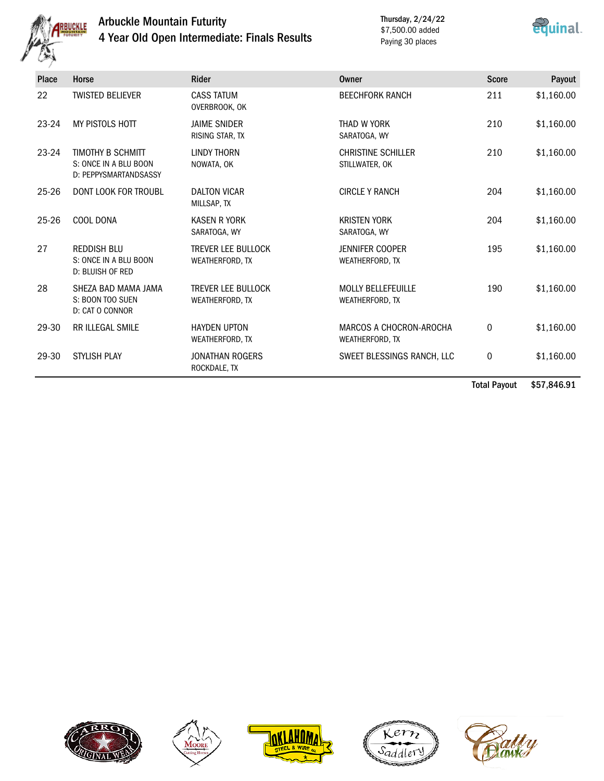

## Arbuckle Mountain Futurity 4 Year Old Open Intermediate: Finals Results

Thursday, 2/24/22 \$7,500.00 added Paying 30 places



| <b>Place</b> | Horse                                                               | <b>Rider</b>                                 | Owner                                        | <b>Score</b> | Payout     |
|--------------|---------------------------------------------------------------------|----------------------------------------------|----------------------------------------------|--------------|------------|
| 22           | <b>TWISTED BELIEVER</b>                                             | <b>CASS TATUM</b><br>OVERBROOK, OK           | <b>BEECHFORK RANCH</b>                       | 211          | \$1,160.00 |
| $23-24$      | MY PISTOLS HOTT                                                     | <b>JAIME SNIDER</b><br>RISING STAR, TX       | THAD W YORK<br>SARATOGA, WY                  | 210          | \$1,160.00 |
| $23-24$      | TIMOTHY B SCHMITT<br>S: ONCE IN A BLU BOON<br>D: PEPPYSMARTANDSASSY | <b>LINDY THORN</b><br>NOWATA, OK             | <b>CHRISTINE SCHILLER</b><br>STILLWATER, OK  | 210          | \$1,160.00 |
| $25 - 26$    | <b>DONT LOOK FOR TROUBL</b>                                         | <b>DALTON VICAR</b><br>MILLSAP, TX           | <b>CIRCLE Y RANCH</b>                        | 204          | \$1,160.00 |
| $25 - 26$    | COOL DONA                                                           | <b>KASEN R YORK</b><br>SARATOGA, WY          | <b>KRISTEN YORK</b><br>SARATOGA, WY          | 204          | \$1,160.00 |
| 27           | <b>REDDISH BLU</b><br>S: ONCE IN A BLU BOON<br>D: BLUISH OF RED     | <b>TREVER LEE BULLOCK</b><br>WEATHERFORD, TX | <b>JENNIFER COOPER</b><br>WEATHERFORD, TX    | 195          | \$1,160.00 |
| 28           | SHEZA BAD MAMA JAMA<br>S: BOON TOO SUEN<br>D: CAT O CONNOR          | <b>TREVER LEE BULLOCK</b><br>WEATHERFORD, TX | <b>MOLLY BELLEFEUILLE</b><br>WEATHERFORD, TX | 190          | \$1,160.00 |
| 29-30        | <b>RR ILLEGAL SMILE</b>                                             | <b>HAYDEN UPTON</b><br>WEATHERFORD, TX       | MARCOS A CHOCRON-AROCHA<br>WEATHERFORD, TX   | $\mathbf 0$  | \$1,160.00 |
| 29-30        | <b>STYLISH PLAY</b>                                                 | <b>JONATHAN ROGERS</b><br>ROCKDALE, TX       | SWEET BLESSINGS RANCH, LLC                   | 0            | \$1,160.00 |

Total Payout \$57,846.91









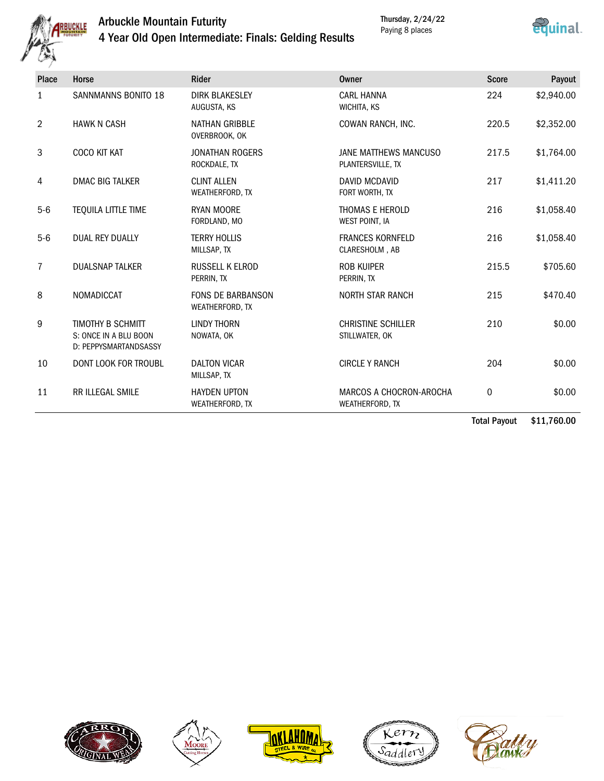

## Arbuckle Mountain Futurity 4 Year Old Open Intermediate: Finals: Gelding Results



| Place          | Horse                                                                      | Rider                                       | <b>Owner</b>                                      | <b>Score</b> | Payout         |
|----------------|----------------------------------------------------------------------------|---------------------------------------------|---------------------------------------------------|--------------|----------------|
| 1              | <b>SANNMANNS BONITO 18</b>                                                 | <b>DIRK BLAKESLEY</b><br>AUGUSTA, KS        | <b>CARL HANNA</b><br>WICHITA, KS                  | 224          | \$2,940.00     |
| $\overline{2}$ | <b>HAWK N CASH</b>                                                         | <b>NATHAN GRIBBLE</b><br>OVERBROOK, OK      | COWAN RANCH, INC.                                 | 220.5        | \$2,352.00     |
| 3              | COCO KIT KAT                                                               | <b>JONATHAN ROGERS</b><br>ROCKDALE, TX      | JANE MATTHEWS MANCUSO<br>PLANTERSVILLE, TX        | 217.5        | \$1,764.00     |
| 4              | <b>DMAC BIG TALKER</b>                                                     | <b>CLINT ALLEN</b><br>WEATHERFORD, TX       | <b>DAVID MCDAVID</b><br>FORT WORTH, TX            | 217          | \$1,411.20     |
| $5-6$          | TEQUILA LITTLE TIME                                                        | <b>RYAN MOORE</b><br>FORDLAND, MO           | THOMAS E HEROLD<br><b>WEST POINT, IA</b>          | 216          | \$1,058.40     |
| $5-6$          | <b>DUAL REY DUALLY</b>                                                     | <b>TERRY HOLLIS</b><br>MILLSAP, TX          | <b>FRANCES KORNFELD</b><br>CLARESHOLM, AB         | 216          | \$1,058.40     |
| 7              | <b>DUALSNAP TALKER</b>                                                     | <b>RUSSELL K ELROD</b><br>PERRIN, TX        | <b>ROB KUIPER</b><br>PERRIN, TX                   | 215.5        | \$705.60       |
| 8              | NOMADICCAT                                                                 | <b>FONS DE BARBANSON</b><br>WEATHERFORD, TX | <b>NORTH STAR RANCH</b>                           | 215          | \$470.40       |
| 9              | <b>TIMOTHY B SCHMITT</b><br>S: ONCE IN A BLU BOON<br>D: PEPPYSMARTANDSASSY | <b>LINDY THORN</b><br>NOWATA, OK            | <b>CHRISTINE SCHILLER</b><br>STILLWATER, OK       | 210          | \$0.00         |
| 10             | DONT LOOK FOR TROUBL                                                       | <b>DALTON VICAR</b><br>MILLSAP, TX          | <b>CIRCLE Y RANCH</b>                             | 204          | \$0.00         |
| 11             | <b>RR ILLEGAL SMILE</b>                                                    | <b>HAYDEN UPTON</b><br>WEATHERFORD, TX      | MARCOS A CHOCRON-AROCHA<br><b>WEATHERFORD, TX</b> | 0            | \$0.00         |
|                |                                                                            |                                             |                                                   | .            | $\overline{A}$ |

Total Payout \$11,760.00









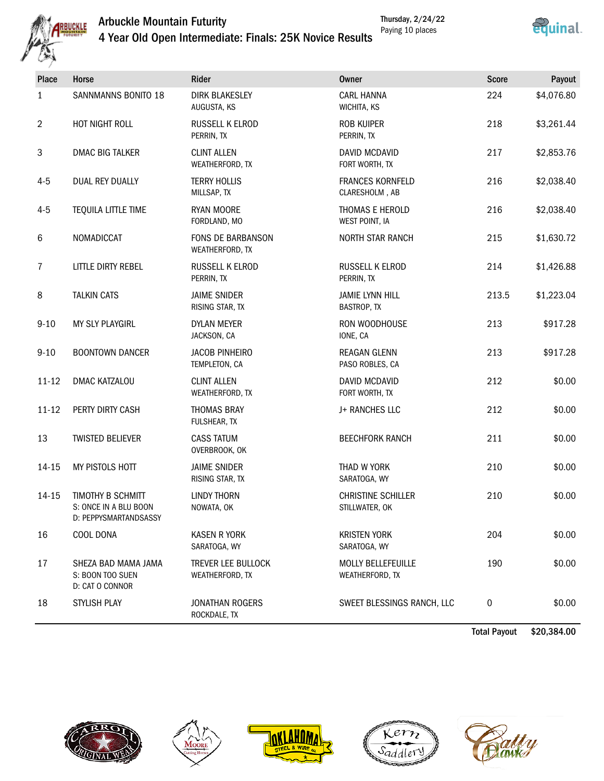

# Arbuckle Mountain Futurity



Thursday, 2/24/22 Paying 10 places

| 4 Year Old Open Intermediate: Finals: 25K Novice Results |  |
|----------------------------------------------------------|--|
|----------------------------------------------------------|--|

| <b>Place</b>   | Horse                                                               | Rider                                  | <b>Owner</b>                                 | <b>Score</b> | Payout     |
|----------------|---------------------------------------------------------------------|----------------------------------------|----------------------------------------------|--------------|------------|
| 1              | SANNMANNS BONITO 18                                                 | <b>DIRK BLAKESLEY</b><br>AUGUSTA, KS   | <b>CARL HANNA</b><br>WICHITA, KS             | 224          | \$4,076.80 |
| $\overline{2}$ | HOT NIGHT ROLL                                                      | RUSSELL K ELROD<br>PERRIN, TX          | <b>ROB KUIPER</b><br>PERRIN, TX              | 218          | \$3,261.44 |
| 3              | <b>DMAC BIG TALKER</b>                                              | <b>CLINT ALLEN</b><br>WEATHERFORD, TX  | DAVID MCDAVID<br>FORT WORTH, TX              | 217          | \$2,853.76 |
| $4 - 5$        | <b>DUAL REY DUALLY</b>                                              | <b>TERRY HOLLIS</b><br>MILLSAP, TX     | <b>FRANCES KORNFELD</b><br>CLARESHOLM, AB    | 216          | \$2,038.40 |
| $4 - 5$        | TEQUILA LITTLE TIME                                                 | <b>RYAN MOORE</b><br>FORDLAND, MO      | THOMAS E HEROLD<br>WEST POINT, IA            | 216          | \$2,038.40 |
| 6              | NOMADICCAT                                                          | FONS DE BARBANSON<br>WEATHERFORD, TX   | <b>NORTH STAR RANCH</b>                      | 215          | \$1,630.72 |
| 7              | LITTLE DIRTY REBEL                                                  | RUSSELL K ELROD<br>PERRIN, TX          | RUSSELL K ELROD<br>PERRIN, TX                | 214          | \$1,426.88 |
| $\,8\,$        | <b>TALKIN CATS</b>                                                  | <b>JAIME SNIDER</b><br>RISING STAR, TX | <b>JAMIE LYNN HILL</b><br><b>BASTROP, TX</b> | 213.5        | \$1,223.04 |
| $9 - 10$       | MY SLY PLAYGIRL                                                     | <b>DYLAN MEYER</b><br>JACKSON, CA      | RON WOODHOUSE<br>IONE, CA                    | 213          | \$917.28   |
| $9 - 10$       | <b>BOONTOWN DANCER</b>                                              | <b>JACOB PINHEIRO</b><br>TEMPLETON, CA | REAGAN GLENN<br>PASO ROBLES, CA              | 213          | \$917.28   |
| $11 - 12$      | DMAC KATZALOU                                                       | <b>CLINT ALLEN</b><br>WEATHERFORD, TX  | DAVID MCDAVID<br>FORT WORTH, TX              | 212          | \$0.00     |
| $11 - 12$      | PERTY DIRTY CASH                                                    | <b>THOMAS BRAY</b><br>FULSHEAR, TX     | J+ RANCHES LLC                               | 212          | \$0.00     |
| 13             | <b>TWISTED BELIEVER</b>                                             | <b>CASS TATUM</b><br>OVERBROOK, OK     | <b>BEECHFORK RANCH</b>                       | 211          | \$0.00     |
| 14-15          | MY PISTOLS HOTT                                                     | <b>JAIME SNIDER</b><br>RISING STAR, TX | THAD W YORK<br>SARATOGA, WY                  | 210          | \$0.00     |
| 14-15          | TIMOTHY B SCHMITT<br>S: ONCE IN A BLU BOON<br>D: PEPPYSMARTANDSASSY | <b>LINDY THORN</b><br>NOWATA, OK       | <b>CHRISTINE SCHILLER</b><br>STILLWATER, OK  | 210          | \$0.00     |
| 16             | COOL DONA                                                           | <b>KASEN R YORK</b><br>SARATOGA, WY    | <b>KRISTEN YORK</b><br>SARATOGA, WY          | 204          | \$0.00     |
| 17             | SHEZA BAD MAMA JAMA<br>S: BOON TOO SUEN<br>D: CAT O CONNOR          | TREVER LEE BULLOCK<br>WEATHERFORD, TX  | <b>MOLLY BELLEFEUILLE</b><br>WEATHERFORD, TX | 190          | \$0.00     |
| 18             | STYLISH PLAY                                                        | <b>JONATHAN ROGERS</b><br>ROCKDALE, TX | SWEET BLESSINGS RANCH, LLC                   | 0            | \$0.00     |

Total Payout \$20,384.00